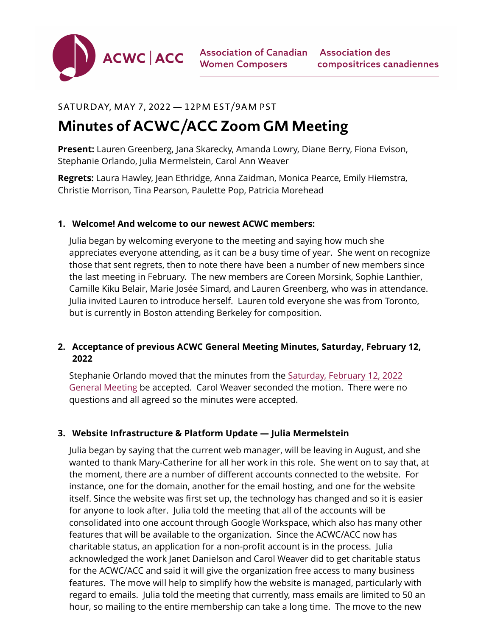

Association of Canadian Association des **Women Composers** 

# SATURDAY, MAY 7, 2022 — 12PM EST/9AM PST

# **Minutes of ACWC/ACC Zoom GM Meeting**

**Present:** Lauren Greenberg, Jana Skarecky, Amanda Lowry, Diane Berry, Fiona Evison, Stephanie Orlando, Julia Mermelstein, Carol Ann Weaver

**Regrets:** Laura Hawley, Jean Ethridge, Anna Zaidman, Monica Pearce, Emily Hiemstra, Christie Morrison, Tina Pearson, Paulette Pop, Patricia Morehead

#### **1. Welcome! And welcome to our newest ACWC members:**

Julia began by welcoming everyone to the meeting and saying how much she appreciates everyone attending, as it can be a busy time of year. She went on recognize those that sent regrets, then to note there have been a number of new members since the last meeting in February. The new members are Coreen Morsink, Sophie Lanthier, Camille Kiku Belair, Marie Josée Simard, and Lauren Greenberg, who was in attendance. Julia invited Lauren to introduce herself. Lauren told everyone she was from Toronto, but is currently in Boston attending Berkeley for composition.

## **2. Acceptance of previous ACWC General Meeting Minutes, Saturday, February 12, 2022**

Stephanie Orlando moved that the minutes from the [Saturday, February 12, 2022](https://acwc.ca/wp-content/uploads/2022/02/02-12-2022-ACWC-Minutes-1.pdf)  [General Meeting](https://acwc.ca/wp-content/uploads/2022/02/02-12-2022-ACWC-Minutes-1.pdf) be accepted. Carol Weaver seconded the motion. There were no questions and all agreed so the minutes were accepted.

## **3. Website Infrastructure & Platform Update — Julia Mermelstein**

Julia began by saying that the current web manager, will be leaving in August, and she wanted to thank Mary-Catherine for all her work in this role. She went on to say that, at the moment, there are a number of different accounts connected to the website. For instance, one for the domain, another for the email hosting, and one for the website itself. Since the website was first set up, the technology has changed and so it is easier for anyone to look after. Julia told the meeting that all of the accounts will be consolidated into one account through Google Workspace, which also has many other features that will be available to the organization. Since the ACWC/ACC now has charitable status, an application for a non-profit account is in the process. Julia acknowledged the work Janet Danielson and Carol Weaver did to get charitable status for the ACWC/ACC and said it will give the organization free access to many business features. The move will help to simplify how the website is managed, particularly with regard to emails. Julia told the meeting that currently, mass emails are limited to 50 an hour, so mailing to the entire membership can take a long time. The move to the new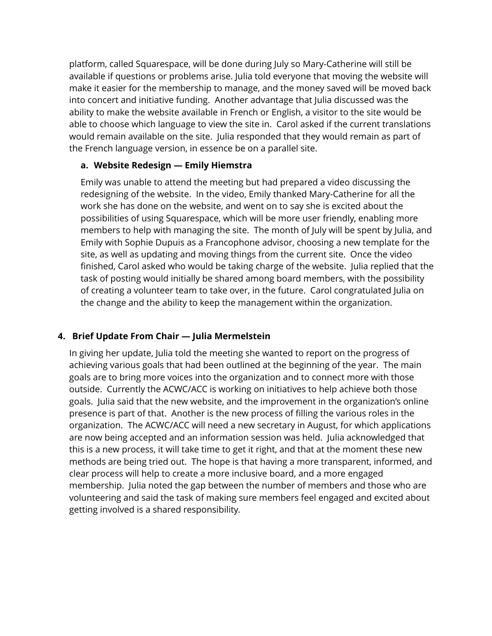platform, called Squarespace, will be done during July so Mary-Catherine will still be available if questions or problems arise. Julia told everyone that moving the website will make it easier for the membership to manage, and the money saved will be moved back into concert and initiative funding. Another advantage that Julia discussed was the ability to make the website available in French or English, a visitor to the site would be able to choose which language to view the site in. Carol asked if the current translations would remain available on the site. Julia responded that they would remain as part of the French language version, in essence be on a parallel site.

#### **a. Website Redesign — Emily Hiemstra**

Emily was unable to attend the meeting but had prepared a video discussing the redesigning of the website. In the video, Emily thanked Mary-Catherine for all the work she has done on the website, and went on to say she is excited about the possibilities of using Squarespace, which will be more user friendly, enabling more members to help with managing the site. The month of July will be spent by Julia, and Emily with Sophie Dupuis as a Francophone advisor, choosing a new template for the site, as well as updating and moving things from the current site. Once the video finished, Carol asked who would be taking charge of the website. Julia replied that the task of posting would initially be shared among board members, with the possibility of creating a volunteer team to take over, in the future. Carol congratulated Julia on the change and the ability to keep the management within the organization.

## **4. Brief Update From Chair — Julia Mermelstein**

In giving her update, Julia told the meeting she wanted to report on the progress of achieving various goals that had been outlined at the beginning of the year. The main goals are to bring more voices into the organization and to connect more with those outside. Currently the ACWC/ACC is working on initiatives to help achieve both those goals. Julia said that the new website, and the improvement in the organization's online presence is part of that. Another is the new process of filling the various roles in the organization. The ACWC/ACC will need a new secretary in August, for which applications are now being accepted and an information session was held. Julia acknowledged that this is a new process, it will take time to get it right, and that at the moment these new methods are being tried out. The hope is that having a more transparent, informed, and clear process will help to create a more inclusive board, and a more engaged membership. Julia noted the gap between the number of members and those who are volunteering and said the task of making sure members feel engaged and excited about getting involved is a shared responsibility.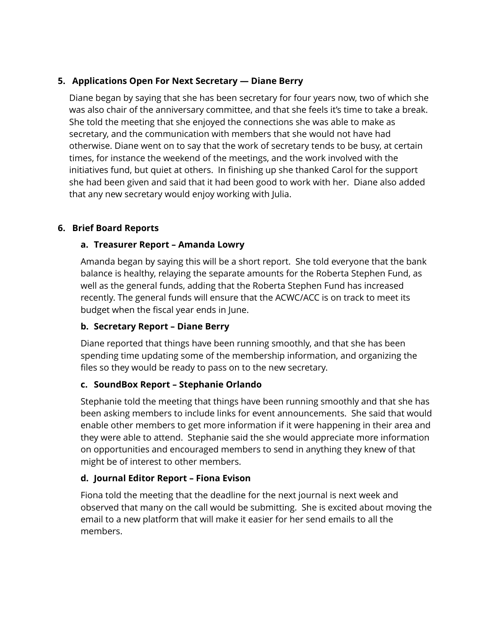## **5. Applications Open For Next Secretary — Diane Berry**

Diane began by saying that she has been secretary for four years now, two of which she was also chair of the anniversary committee, and that she feels it's time to take a break. She told the meeting that she enjoyed the connections she was able to make as secretary, and the communication with members that she would not have had otherwise. Diane went on to say that the work of secretary tends to be busy, at certain times, for instance the weekend of the meetings, and the work involved with the initiatives fund, but quiet at others. In finishing up she thanked Carol for the support she had been given and said that it had been good to work with her. Diane also added that any new secretary would enjoy working with Julia.

## **6. Brief Board Reports**

# **a. Treasurer Report – Amanda Lowry**

Amanda began by saying this will be a short report. She told everyone that the bank balance is healthy, relaying the separate amounts for the Roberta Stephen Fund, as well as the general funds, adding that the Roberta Stephen Fund has increased recently. The general funds will ensure that the ACWC/ACC is on track to meet its budget when the fiscal year ends in June.

# **b. Secretary Report – Diane Berry**

Diane reported that things have been running smoothly, and that she has been spending time updating some of the membership information, and organizing the files so they would be ready to pass on to the new secretary.

# **c. SoundBox Report – Stephanie Orlando**

Stephanie told the meeting that things have been running smoothly and that she has been asking members to include links for event announcements. She said that would enable other members to get more information if it were happening in their area and they were able to attend. Stephanie said the she would appreciate more information on opportunities and encouraged members to send in anything they knew of that might be of interest to other members.

# **d. Journal Editor Report – Fiona Evison**

Fiona told the meeting that the deadline for the next journal is next week and observed that many on the call would be submitting. She is excited about moving the email to a new platform that will make it easier for her send emails to all the members.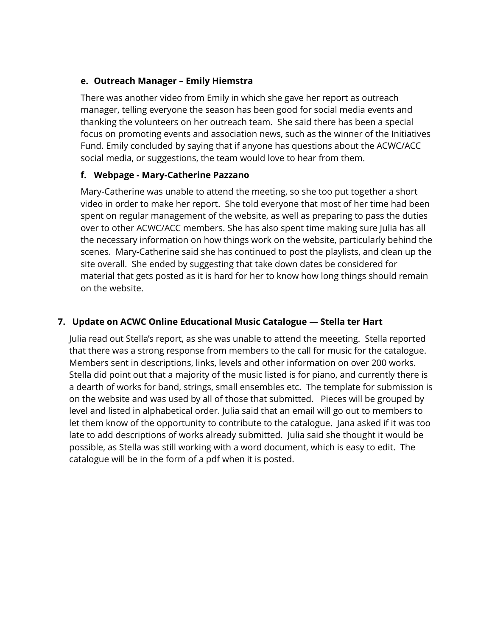#### **e. Outreach Manager – Emily Hiemstra**

There was another video from Emily in which she gave her report as outreach manager, telling everyone the season has been good for social media events and thanking the volunteers on her outreach team. She said there has been a special focus on promoting events and association news, such as the winner of the Initiatives Fund. Emily concluded by saying that if anyone has questions about the ACWC/ACC social media, or suggestions, the team would love to hear from them.

#### **f. Webpage - Mary-Catherine Pazzano**

Mary-Catherine was unable to attend the meeting, so she too put together a short video in order to make her report. She told everyone that most of her time had been spent on regular management of the website, as well as preparing to pass the duties over to other ACWC/ACC members. She has also spent time making sure Julia has all the necessary information on how things work on the website, particularly behind the scenes. Mary-Catherine said she has continued to post the playlists, and clean up the site overall. She ended by suggesting that take down dates be considered for material that gets posted as it is hard for her to know how long things should remain on the website.

## **7. Update on ACWC Online Educational Music Catalogue — Stella ter Hart**

Julia read out Stella's report, as she was unable to attend the meeeting. Stella reported that there was a strong response from members to the call for music for the catalogue. Members sent in descriptions, links, levels and other information on over 200 works. Stella did point out that a majority of the music listed is for piano, and currently there is a dearth of works for band, strings, small ensembles etc. The template for submission is on the website and was used by all of those that submitted. Pieces will be grouped by level and listed in alphabetical order. Julia said that an email will go out to members to let them know of the opportunity to contribute to the catalogue. Jana asked if it was too late to add descriptions of works already submitted. Julia said she thought it would be possible, as Stella was still working with a word document, which is easy to edit. The catalogue will be in the form of a pdf when it is posted.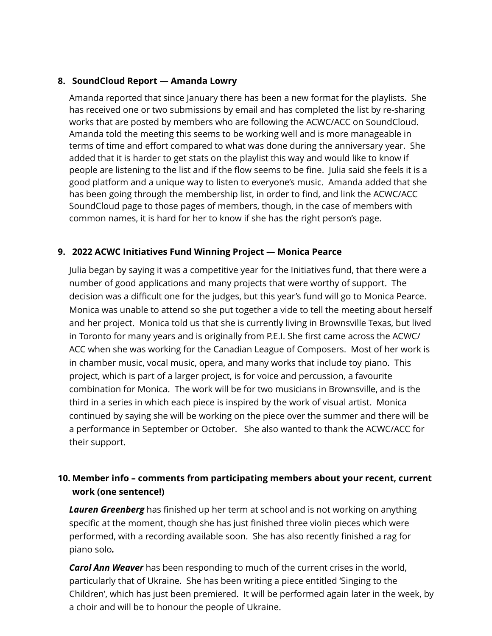#### **8. SoundCloud Report — Amanda Lowry**

Amanda reported that since January there has been a new format for the playlists. She has received one or two submissions by email and has completed the list by re-sharing works that are posted by members who are following the ACWC/ACC on SoundCloud. Amanda told the meeting this seems to be working well and is more manageable in terms of time and effort compared to what was done during the anniversary year. She added that it is harder to get stats on the playlist this way and would like to know if people are listening to the list and if the flow seems to be fine. Julia said she feels it is a good platform and a unique way to listen to everyone's music. Amanda added that she has been going through the membership list, in order to find, and link the ACWC/ACC SoundCloud page to those pages of members, though, in the case of members with common names, it is hard for her to know if she has the right person's page.

#### **9. 2022 ACWC Initiatives Fund Winning Project — Monica Pearce**

Julia began by saying it was a competitive year for the Initiatives fund, that there were a number of good applications and many projects that were worthy of support. The decision was a difficult one for the judges, but this year's fund will go to Monica Pearce. Monica was unable to attend so she put together a vide to tell the meeting about herself and her project. Monica told us that she is currently living in Brownsville Texas, but lived in Toronto for many years and is originally from P.E.I. She first came across the ACWC/ ACC when she was working for the Canadian League of Composers. Most of her work is in chamber music, vocal music, opera, and many works that include toy piano. This project, which is part of a larger project, is for voice and percussion, a favourite combination for Monica. The work will be for two musicians in Brownsville, and is the third in a series in which each piece is inspired by the work of visual artist. Monica continued by saying she will be working on the piece over the summer and there will be a performance in September or October. She also wanted to thank the ACWC/ACC for their support.

# **10. Member info – comments from participating members about your recent, current work (one sentence!)**

*Lauren Greenberg* has finished up her term at school and is not working on anything specific at the moment, though she has just finished three violin pieces which were performed, with a recording available soon. She has also recently finished a rag for piano solo*.*

*Carol Ann Weaver* has been responding to much of the current crises in the world, particularly that of Ukraine. She has been writing a piece entitled 'Singing to the Children', which has just been premiered. It will be performed again later in the week, by a choir and will be to honour the people of Ukraine.